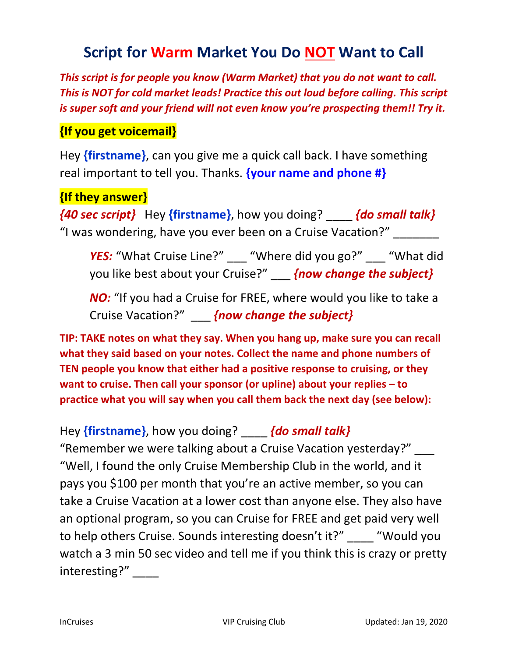# **Script for Warm Market You Do NOT Want to Call**

This script is for people you know (Warm Market) that you do not want to call. This is NOT for cold market leads! Practice this out loud before calling. This script is super soft and your friend will not even know you're prospecting them!! Try it.

### {If you get voicemail}

Hey {firstname}, can you give me a quick call back. I have something real important to tell you. Thanks. **{your name and phone #}** 

### {If they answer}

 $\{40 \text{ sec}$  script} Hey  $\{\text{firstname}\}$ , how you doing?  $\{do \text{ small talk}\}$ "I was wondering, have you ever been on a Cruise Vacation?" \_\_\_\_\_\_\_

YES: "What Cruise Line?" \_\_\_ "Where did you go?" That did you like best about your Cruise?" [now change the subject}

NO: "If you had a Cruise for FREE, where would you like to take a Cruise Vacation?" \_\_\_\_ {now change the subject}

TIP: TAKE notes on what they say. When you hang up, make sure you can recall what they said based on your notes. Collect the name and phone numbers of TEN people you know that either had a positive response to cruising, or they want to cruise. Then call your sponsor (or upline) about your replies – to practice what you will say when you call them back the next day (see below):

## Hey {firstname}, how you doing? {do small talk}

"Remember we were talking about a Cruise Vacation yesterday?" \_\_\_ "Well, I found the only Cruise Membership Club in the world, and it pays you \$100 per month that you're an active member, so you can take a Cruise Vacation at a lower cost than anyone else. They also have an optional program, so you can Cruise for FREE and get paid very well to help others Cruise. Sounds interesting doesn't it?" The "Would you watch a 3 min 50 sec video and tell me if you think this is crazy or pretty interesting?"